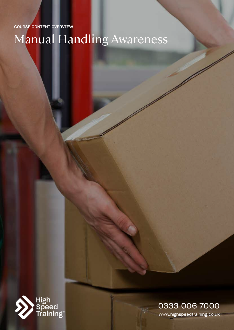COURSE CONTENT OVERVIEW

Manual Handling Awareness



# www.highspeedtraining.co.uk 0333 006 7000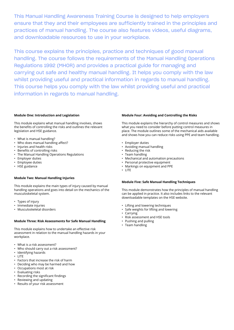This Manual Handling Awareness Training Course is designed to help employers ensure that they and their employees are sufficiently trained in the principles and practices of manual handling. The course also features videos, useful diagrams, and downloadable resources to use in your workplace.

This course explains the principles, practice and techniques of good manual handling. The course follows the requirements of the Manual Handling Operations Regulations 1992 (MHOR) and provides a practical guide for managing and carrying out safe and healthy manual handling. It helps you comply with the law whilst providing useful and practical information in regards to manual handling. This course helps you comply with the law whilst providing useful and practical information in regards to manual handling.

#### **Module One: Introduction and Legislation**

This module explains what manual handling involves, shows the benefits of controlling the risks and outlines the relevant legislation and HSE guidance.

- What is manual handling?
- Who does manual handling affect?
- Injuries and health risks
- Benefits of controlling risks
- The Manual Handling Operations Regulations
- Employer duties
- Employee duties
- HSE guidance

# **Module Two: Manual Handling Injuries**

This module explains the main types of injury caused by manual handling operations and goes into detail on the mechanics of the musculoskeletal system.

- Types of injury
- Immediate injuries
- Musculoskeletal disorders

#### **Module Three: Risk Assessments for Safe Manual Handling**

This module explains how to undertake an effective risk assessment in relation to the manual handling hazards in your workplace.

- What is a risk assessment?
- Who should carry out a risk assessment?
- Identifying hazards
- LITE
- Factors that increase the risk of harm
- Deciding who may be harmed and how
- Occupations most at risk
- Evaluating risks
- Recording the significant findings
- Reviewing and updating
- Results of your risk assessment

## **Module Four: Avoiding and Controlling the Risks**

This module explains the hierarchy of control measures and shows what you need to consider before putting control measures in place. The module outlines some of the mechanical aids available and shows how you can reduce risks using PPE and team handling.

- Employer duties
- Avoiding manual handling
- Reducing the risk
- Team handling
- Mechanical and automation precautions
- Personal protective equipment
- Markings on equipment and PPE
- LITE

### **Module Five: Safe Manual Handling Techniques**

This module demonstrates how the principles of manual handling can be applied in practice. It also includes links to the relevant downloadable templates on the HSE website.

- Lifting and lowering techniques
- Safe weights for lifting and lowering
- Carrying
- Risk assessment and HSE tools
- Pushing and pulling
- Team handling